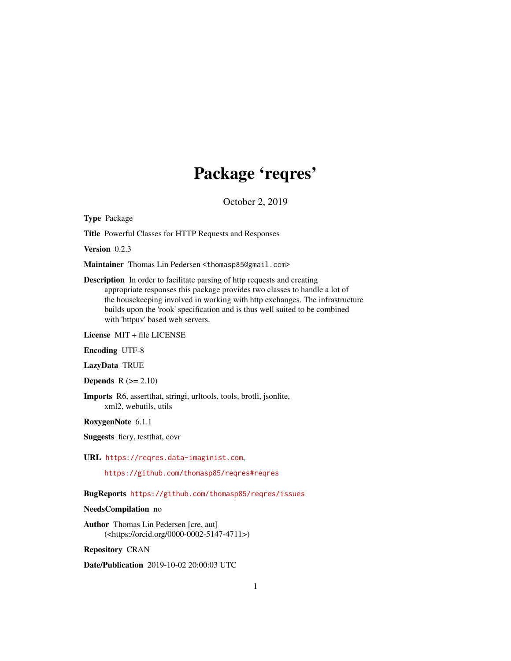# Package 'reqres'

October 2, 2019

<span id="page-0-0"></span>Type Package

Title Powerful Classes for HTTP Requests and Responses

Version 0.2.3

Maintainer Thomas Lin Pedersen <thomasp85@gmail.com>

Description In order to facilitate parsing of http requests and creating appropriate responses this package provides two classes to handle a lot of the housekeeping involved in working with http exchanges. The infrastructure builds upon the 'rook' specification and is thus well suited to be combined with 'httpuv' based web servers.

License MIT + file LICENSE

Encoding UTF-8

LazyData TRUE

**Depends**  $R$  ( $>= 2.10$ )

Imports R6, assertthat, stringi, urltools, tools, brotli, jsonlite, xml2, webutils, utils

RoxygenNote 6.1.1

Suggests fiery, testthat, covr

URL <https://reqres.data-imaginist.com>,

<https://github.com/thomasp85/reqres#reqres>

BugReports <https://github.com/thomasp85/reqres/issues>

NeedsCompilation no

Author Thomas Lin Pedersen [cre, aut] (<https://orcid.org/0000-0002-5147-4711>)

Repository CRAN

Date/Publication 2019-10-02 20:00:03 UTC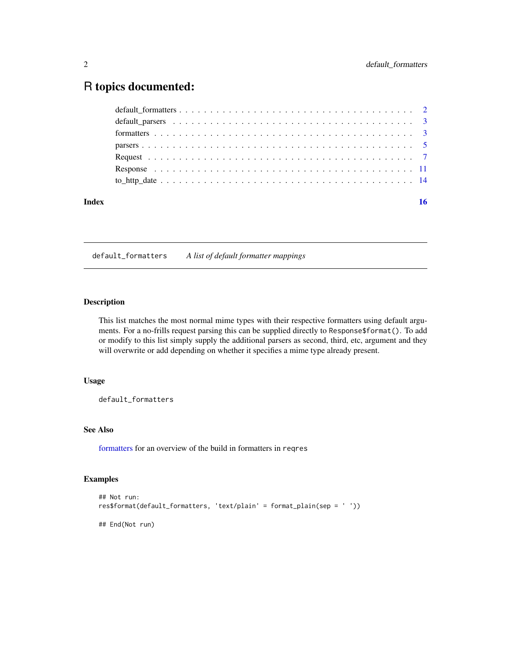# <span id="page-1-0"></span>R topics documented:

| Index | 16 |
|-------|----|
|       |    |
|       |    |
|       |    |
|       |    |
|       |    |
|       |    |
|       |    |

<span id="page-1-1"></span>default\_formatters *A list of default formatter mappings*

#### Description

This list matches the most normal mime types with their respective formatters using default arguments. For a no-frills request parsing this can be supplied directly to Response\$format(). To add or modify to this list simply supply the additional parsers as second, third, etc, argument and they will overwrite or add depending on whether it specifies a mime type already present.

### Usage

default\_formatters

### See Also

[formatters](#page-2-1) for an overview of the build in formatters in reqres

```
## Not run:
res$format(default_formatters, 'text/plain' = format_plain(sep = ' '))
## End(Not run)
```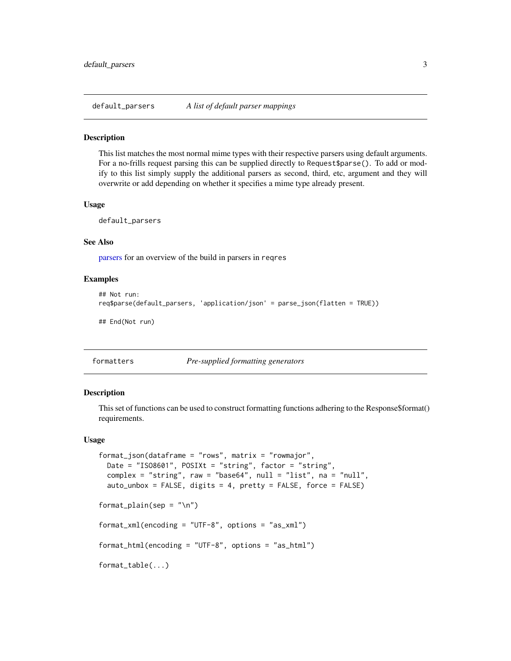<span id="page-2-2"></span><span id="page-2-0"></span>default\_parsers *A list of default parser mappings*

#### Description

This list matches the most normal mime types with their respective parsers using default arguments. For a no-frills request parsing this can be supplied directly to Request\$parse(). To add or modify to this list simply supply the additional parsers as second, third, etc, argument and they will overwrite or add depending on whether it specifies a mime type already present.

#### Usage

default\_parsers

#### See Also

[parsers](#page-4-1) for an overview of the build in parsers in reqres

#### Examples

```
## Not run:
req$parse(default_parsers, 'application/json' = parse_json(flatten = TRUE))
## End(Not run)
```
<span id="page-2-1"></span>

```
formatters Pre-supplied formatting generators
```
#### Description

This set of functions can be used to construct formatting functions adhering to the Response\$format() requirements.

#### Usage

```
format_json(dataframe = "rows", matrix = "rownajor",Date = "ISO8601", POSIXt = "string", factor = "string",
 complex = "string", raw = "base64", null = "list", na = "null",auto_unbox = FALSE, digits = 4, pretty = FALSE, force = FALSE)
format\_plain(sep = "\\n")format_xml(encoding = "UTF-8", options = "as_xml")
format_html(encoding = "UTF-8", options = "as_html")
format_table(...)
```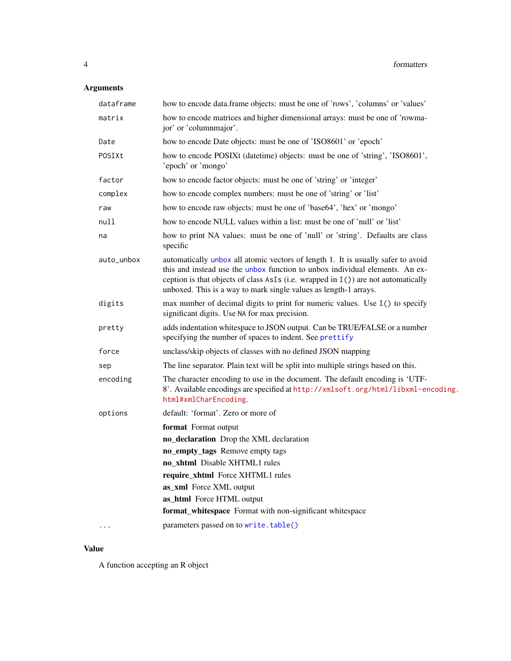# <span id="page-3-0"></span>Arguments

| dataframe  | how to encode data.frame objects: must be one of 'rows', 'columns' or 'values'                                                                                                                                                                                                                                              |
|------------|-----------------------------------------------------------------------------------------------------------------------------------------------------------------------------------------------------------------------------------------------------------------------------------------------------------------------------|
| matrix     | how to encode matrices and higher dimensional arrays: must be one of 'rowma-<br>jor' or 'columnmajor'.                                                                                                                                                                                                                      |
| Date       | how to encode Date objects: must be one of 'ISO8601' or 'epoch'                                                                                                                                                                                                                                                             |
| POSIXt     | how to encode POSIXt (date time) objects: must be one of 'string', 'ISO8601',<br>'epoch' or 'mongo'                                                                                                                                                                                                                         |
| factor     | how to encode factor objects: must be one of 'string' or 'integer'                                                                                                                                                                                                                                                          |
| complex    | how to encode complex numbers: must be one of 'string' or 'list'                                                                                                                                                                                                                                                            |
| raw        | how to encode raw objects: must be one of 'base64', 'hex' or 'mongo'                                                                                                                                                                                                                                                        |
| null       | how to encode NULL values within a list: must be one of 'null' or 'list'                                                                                                                                                                                                                                                    |
| na         | how to print NA values: must be one of 'null' or 'string'. Defaults are class<br>specific                                                                                                                                                                                                                                   |
| auto_unbox | automatically unbox all atomic vectors of length 1. It is usually safer to avoid<br>this and instead use the unbox function to unbox individual elements. An ex-<br>ception is that objects of class $AsIs (i.e. wrapped in I())$ are not automatically<br>unboxed. This is a way to mark single values as length-1 arrays. |
| digits     | max number of decimal digits to print for numeric values. Use I() to specify<br>significant digits. Use NA for max precision.                                                                                                                                                                                               |
| pretty     | adds indentation whitespace to JSON output. Can be TRUE/FALSE or a number<br>specifying the number of spaces to indent. See prettify                                                                                                                                                                                        |
| force      | unclass/skip objects of classes with no defined JSON mapping                                                                                                                                                                                                                                                                |
| sep        | The line separator. Plain text will be split into multiple strings based on this.                                                                                                                                                                                                                                           |
| encoding   | The character encoding to use in the document. The default encoding is 'UTF-<br>8'. Available encodings are specified at http://xmlsoft.org/html/libxml-encoding.<br>html#xmlCharEncoding.                                                                                                                                  |
| options    | default: 'format'. Zero or more of                                                                                                                                                                                                                                                                                          |
|            | format Format output                                                                                                                                                                                                                                                                                                        |
|            | no_declaration Drop the XML declaration                                                                                                                                                                                                                                                                                     |
|            | no_empty_tags Remove empty tags                                                                                                                                                                                                                                                                                             |
|            | no_xhtml Disable XHTML1 rules                                                                                                                                                                                                                                                                                               |
|            | require_xhtml Force XHTML1 rules                                                                                                                                                                                                                                                                                            |
|            | as_xml Force XML output                                                                                                                                                                                                                                                                                                     |
|            | as_html Force HTML output                                                                                                                                                                                                                                                                                                   |
|            | format_whitespace Format with non-significant whitespace                                                                                                                                                                                                                                                                    |
|            | parameters passed on to write.table()                                                                                                                                                                                                                                                                                       |

#### Value

A function accepting an R object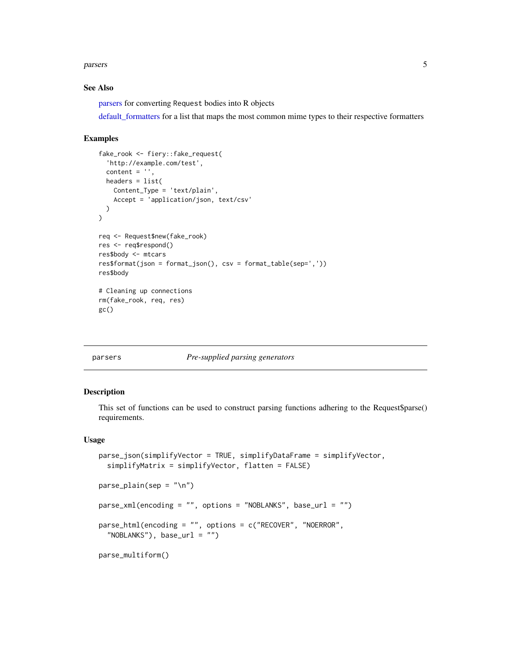#### <span id="page-4-0"></span>parsers 5 and 5 and 5 and 5 and 5 and 5 and 5 and 5 and 5 and 5 and 5 and 5 and 5 and 5 and 5 and 5 and 5 and 5

#### See Also

[parsers](#page-4-1) for converting Request bodies into R objects

[default\\_formatters](#page-1-1) for a list that maps the most common mime types to their respective formatters

#### Examples

```
fake_rook <- fiery::fake_request(
  'http://example.com/test',
  content = ',
 headers = list(Content_Type = 'text/plain',
   Accept = 'application/json, text/csv'
  )
)
req <- Request$new(fake_rook)
res <- req$respond()
res$body <- mtcars
res$format(json = format_json(), csv = format_table(sep=','))
res$body
# Cleaning up connections
rm(fake_rook, req, res)
gc()
```
#### <span id="page-4-1"></span>parsers *Pre-supplied parsing generators*

#### Description

This set of functions can be used to construct parsing functions adhering to the Request\$parse() requirements.

#### Usage

```
parse_json(simplifyVector = TRUE, simplifyDataFrame = simplifyVector,
  simplifyMatrix = simplifyVector, flatten = FALSE)
parse\_plain(sep = "\\n")parse_xml(encoding = "", options = "NOBLANKS", base_url = "")
parse_html(encoding = "", options = c("RECOVER", "NOERROR",
  "NOBLANKS", base_url = "")
parse_multiform()
```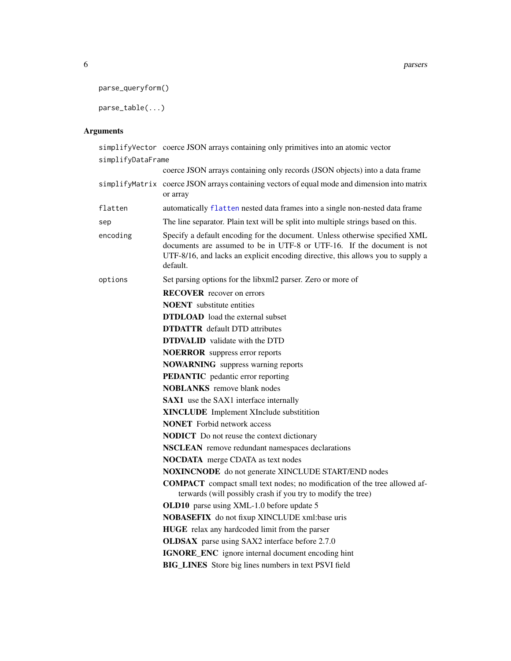```
parse_queryform()
```

```
parse_table(...)
```
### Arguments

simplifyVector coerce JSON arrays containing only primitives into an atomic vector simplifyDataFrame

|          | coerce JSON arrays containing only records (JSON objects) into a data frame                                                                                                                                                                          |
|----------|------------------------------------------------------------------------------------------------------------------------------------------------------------------------------------------------------------------------------------------------------|
|          | simplifyMatrix coerce JSON arrays containing vectors of equal mode and dimension into matrix<br>or array                                                                                                                                             |
| flatten  | automatically flatten nested data frames into a single non-nested data frame                                                                                                                                                                         |
| sep      | The line separator. Plain text will be split into multiple strings based on this.                                                                                                                                                                    |
| encoding | Specify a default encoding for the document. Unless otherwise specified XML<br>documents are assumed to be in UTF-8 or UTF-16. If the document is not<br>UTF-8/16, and lacks an explicit encoding directive, this allows you to supply a<br>default. |
| options  | Set parsing options for the libxml2 parser. Zero or more of                                                                                                                                                                                          |
|          | <b>RECOVER</b> recover on errors                                                                                                                                                                                                                     |
|          | <b>NOENT</b> substitute entities                                                                                                                                                                                                                     |
|          | <b>DTDLOAD</b> load the external subset                                                                                                                                                                                                              |
|          | <b>DTDATTR</b> default DTD attributes                                                                                                                                                                                                                |
|          | <b>DTDVALID</b> validate with the DTD                                                                                                                                                                                                                |
|          | <b>NOERROR</b> suppress error reports                                                                                                                                                                                                                |
|          | <b>NOWARNING</b> suppress warning reports                                                                                                                                                                                                            |
|          | <b>PEDANTIC</b> pedantic error reporting                                                                                                                                                                                                             |
|          | <b>NOBLANKS</b> remove blank nodes                                                                                                                                                                                                                   |
|          | <b>SAX1</b> use the SAX1 interface internally                                                                                                                                                                                                        |
|          | <b>XINCLUDE</b> Implement XInclude substitition                                                                                                                                                                                                      |
|          | <b>NONET</b> Forbid network access                                                                                                                                                                                                                   |
|          | <b>NODICT</b> Do not reuse the context dictionary                                                                                                                                                                                                    |
|          | NSCLEAN remove redundant namespaces declarations                                                                                                                                                                                                     |
|          | <b>NOCDATA</b> merge CDATA as text nodes                                                                                                                                                                                                             |
|          | <b>NOXINCNODE</b> do not generate XINCLUDE START/END nodes                                                                                                                                                                                           |
|          | <b>COMPACT</b> compact small text nodes; no modification of the tree allowed af-<br>terwards (will possibly crash if you try to modify the tree)                                                                                                     |
|          | OLD10 parse using XML-1.0 before update 5                                                                                                                                                                                                            |
|          | <b>NOBASEFIX</b> do not fixup XINCLUDE xml:base uris                                                                                                                                                                                                 |
|          | HUGE relax any hardcoded limit from the parser                                                                                                                                                                                                       |
|          | <b>OLDSAX</b> parse using SAX2 interface before 2.7.0                                                                                                                                                                                                |
|          | IGNORE_ENC ignore internal document encoding hint                                                                                                                                                                                                    |
|          | <b>BIG_LINES</b> Store big lines numbers in text PSVI field                                                                                                                                                                                          |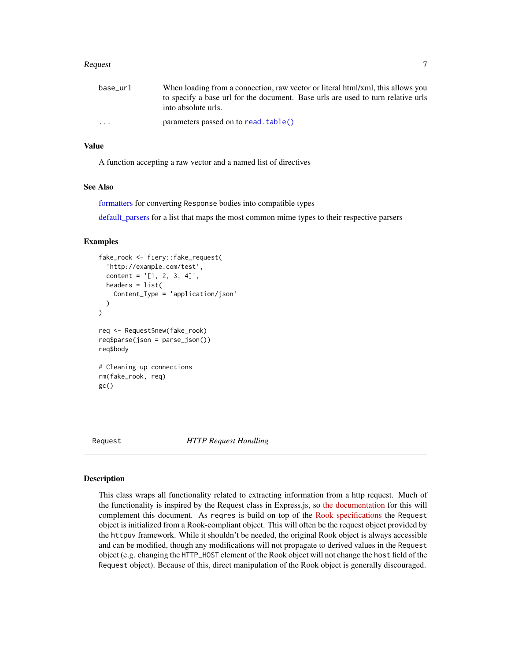#### <span id="page-6-0"></span>Request **7**

| base url                | When loading from a connection, raw vector or literal html/xml, this allows you                         |
|-------------------------|---------------------------------------------------------------------------------------------------------|
|                         | to specify a base url for the document. Base urls are used to turn relative urls<br>into absolute urls. |
| $\cdot$ $\cdot$ $\cdot$ | parameters passed on to read. table()                                                                   |

#### Value

A function accepting a raw vector and a named list of directives

#### See Also

[formatters](#page-2-1) for converting Response bodies into compatible types

[default\\_parsers](#page-2-2) for a list that maps the most common mime types to their respective parsers

#### Examples

```
fake_rook <- fiery::fake_request(
  'http://example.com/test',
  content = '[1, 2, 3, 4]',
  headers = list(
    Content_Type = 'application/json'
  \lambda\mathcal{L}req <- Request$new(fake_rook)
req$parse(json = parse_json())
req$body
# Cleaning up connections
rm(fake_rook, req)
gc()
```
<span id="page-6-1"></span>Request *HTTP Request Handling*

#### Description

This class wraps all functionality related to extracting information from a http request. Much of the functionality is inspired by the Request class in Express.js, so [the documentation](https://expressjs.com/en/4x/api.html#req) for this will complement this document. As reqres is build on top of the [Rook specifications](https://github.com/jeffreyhorner/Rook/blob/a5e45f751/README.md) the Request object is initialized from a Rook-compliant object. This will often be the request object provided by the httpuv framework. While it shouldn't be needed, the original Rook object is always accessible and can be modified, though any modifications will not propagate to derived values in the Request object (e.g. changing the HTTP\_HOST element of the Rook object will not change the host field of the Request object). Because of this, direct manipulation of the Rook object is generally discouraged.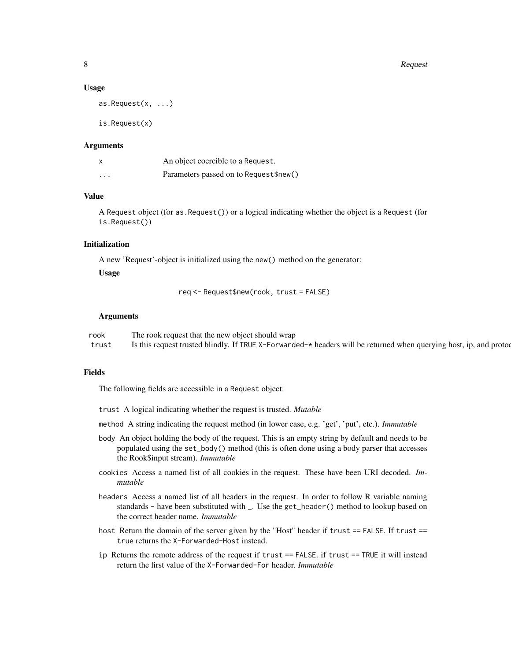#### Usage

as.Request(x, ...)

is.Request(x)

#### Arguments

| $\boldsymbol{\mathsf{x}}$ | An object coercible to a Request.      |
|---------------------------|----------------------------------------|
| $\cdots$                  | Parameters passed on to Request\$new() |

#### Value

A Request object (for as.Request()) or a logical indicating whether the object is a Request (for is.Request())

#### Initialization

A new 'Request'-object is initialized using the new() method on the generator:

Usage

req <- Request\$new(rook, trust = FALSE)

#### Arguments

rook The rook request that the new object should wrap trust Is this request trusted blindly. If TRUE X-Forwarded-\* headers will be returned when querying host, ip, and protoc

#### Fields

The following fields are accessible in a Request object:

trust A logical indicating whether the request is trusted. *Mutable*

method A string indicating the request method (in lower case, e.g. 'get', 'put', etc.). *Immutable*

- body An object holding the body of the request. This is an empty string by default and needs to be populated using the set\_body() method (this is often done using a body parser that accesses the Rook\$input stream). *Immutable*
- cookies Access a named list of all cookies in the request. These have been URI decoded. *Immutable*
- headers Access a named list of all headers in the request. In order to follow R variable naming standards - have been substituted with \_. Use the get\_header() method to lookup based on the correct header name. *Immutable*
- host Return the domain of the server given by the "Host" header if trust == FALSE. If trust == true returns the X-Forwarded-Host instead.
- ip Returns the remote address of the request if trust == FALSE. if trust == TRUE it will instead return the first value of the X-Forwarded-For header. *Immutable*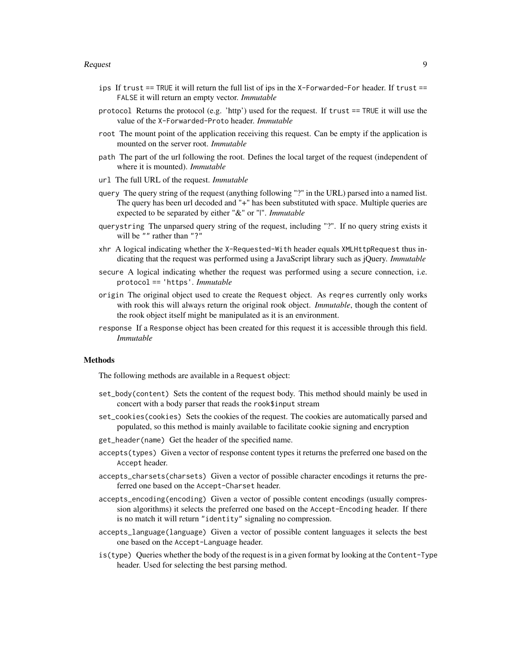#### Request that the contract of the contract of the contract of the contract of the contract of the contract of the contract of the contract of the contract of the contract of the contract of the contract of the contract of t

- ips If trust == TRUE it will return the full list of ips in the X-Forwarded-For header. If trust == FALSE it will return an empty vector. *Immutable*
- protocol Returns the protocol (e.g. 'http') used for the request. If trust == TRUE it will use the value of the X-Forwarded-Proto header. *Immutable*
- root The mount point of the application receiving this request. Can be empty if the application is mounted on the server root. *Immutable*
- path The part of the url following the root. Defines the local target of the request (independent of where it is mounted). *Immutable*
- url The full URL of the request. *Immutable*
- query The query string of the request (anything following "?" in the URL) parsed into a named list. The query has been url decoded and "+" has been substituted with space. Multiple queries are expected to be separated by either "&" or "|". *Immutable*
- querystring The unparsed query string of the request, including "?". If no query string exists it will be "" rather than "?"
- xhr A logical indicating whether the X-Requested-With header equals XMLHttpRequest thus indicating that the request was performed using a JavaScript library such as jQuery. *Immutable*
- secure A logical indicating whether the request was performed using a secure connection, i.e. protocol == 'https'. *Immutable*
- origin The original object used to create the Request object. As reqres currently only works with rook this will always return the original rook object. *Immutable*, though the content of the rook object itself might be manipulated as it is an environment.
- response If a Response object has been created for this request it is accessible through this field. *Immutable*

#### Methods

The following methods are available in a Request object:

- set\_body(content) Sets the content of the request body. This method should mainly be used in concert with a body parser that reads the rook\$input stream
- set\_cookies(cookies) Sets the cookies of the request. The cookies are automatically parsed and populated, so this method is mainly available to facilitate cookie signing and encryption
- get\_header(name) Get the header of the specified name.
- accepts(types) Given a vector of response content types it returns the preferred one based on the Accept header.
- accepts\_charsets(charsets) Given a vector of possible character encodings it returns the preferred one based on the Accept-Charset header.
- accepts\_encoding(encoding) Given a vector of possible content encodings (usually compression algorithms) it selects the preferred one based on the Accept-Encoding header. If there is no match it will return "identity" signaling no compression.
- accepts\_language(language) Given a vector of possible content languages it selects the best one based on the Accept-Language header.
- is(type) Queries whether the body of the request is in a given format by looking at the Content-Type header. Used for selecting the best parsing method.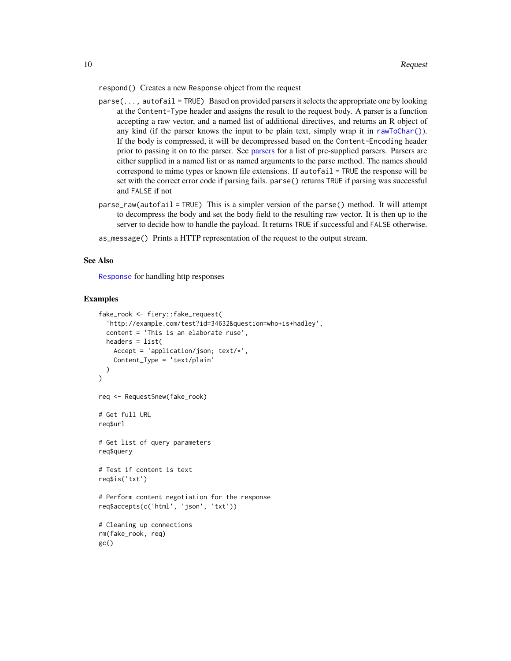<span id="page-9-0"></span>respond() Creates a new Response object from the request

- parse(..., autofail = TRUE) Based on provided parsers it selects the appropriate one by looking at the Content-Type header and assigns the result to the request body. A parser is a function accepting a raw vector, and a named list of additional directives, and returns an R object of any kind (if the parser knows the input to be plain text, simply wrap it in [rawToChar\(\)](#page-0-0)). If the body is compressed, it will be decompressed based on the Content-Encoding header prior to passing it on to the parser. See [parsers](#page-4-1) for a list of pre-supplied parsers. Parsers are either supplied in a named list or as named arguments to the parse method. The names should correspond to mime types or known file extensions. If autofail = TRUE the response will be set with the correct error code if parsing fails. parse() returns TRUE if parsing was successful and FALSE if not
- parse\_raw(autofail = TRUE) This is a simpler version of the parse() method. It will attempt to decompress the body and set the body field to the resulting raw vector. It is then up to the server to decide how to handle the payload. It returns TRUE if successful and FALSE otherwise.
- as\_message() Prints a HTTP representation of the request to the output stream.

#### See Also

[Response](#page-10-1) for handling http responses

```
fake_rook <- fiery::fake_request(
  'http://example.com/test?id=34632&question=who+is+hadley',
 content = 'This is an elaborate ruse',
 headers = list(Accept = 'application/json; text/*',
    Content_Type = 'text/plain'
 )
\mathcal{L}req <- Request$new(fake_rook)
# Get full URL
req$url
# Get list of query parameters
req$query
# Test if content is text
req$is('txt')
# Perform content negotiation for the response
req$accepts(c('html', 'json', 'txt'))
# Cleaning up connections
rm(fake_rook, req)
gc()
```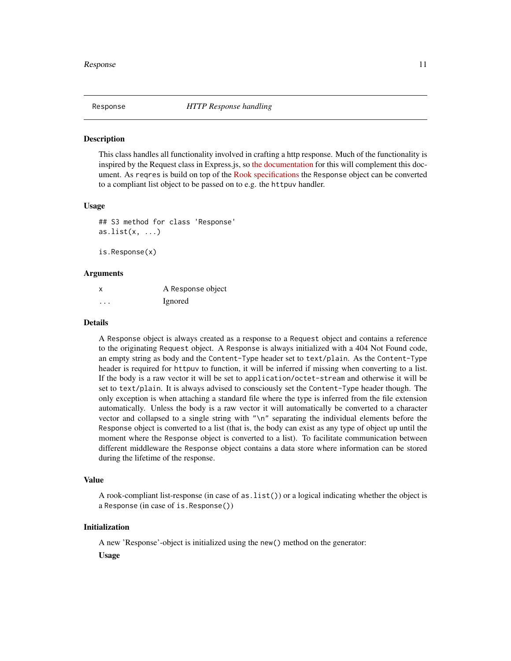<span id="page-10-1"></span><span id="page-10-0"></span>

#### **Description**

This class handles all functionality involved in crafting a http response. Much of the functionality is inspired by the Request class in Express.js, so [the documentation](https://expressjs.com/en/4x/api.html#res) for this will complement this document. As reqres is build on top of the [Rook specifications](https://github.com/jeffreyhorner/Rook/blob/a5e45f751/README.md) the Response object can be converted to a compliant list object to be passed on to e.g. the httpuv handler.

#### Usage

```
## S3 method for class 'Response'
as.list(x, \ldots)
```
is.Response(x)

#### Arguments

| X | A Response object |
|---|-------------------|
| . | Ignored           |

#### Details

A Response object is always created as a response to a Request object and contains a reference to the originating Request object. A Response is always initialized with a 404 Not Found code, an empty string as body and the Content-Type header set to text/plain. As the Content-Type header is required for httpuv to function, it will be inferred if missing when converting to a list. If the body is a raw vector it will be set to application/octet-stream and otherwise it will be set to text/plain. It is always advised to consciously set the Content-Type header though. The only exception is when attaching a standard file where the type is inferred from the file extension automatically. Unless the body is a raw vector it will automatically be converted to a character vector and collapsed to a single string with "\n" separating the individual elements before the Response object is converted to a list (that is, the body can exist as any type of object up until the moment where the Response object is converted to a list). To facilitate communication between different middleware the Response object contains a data store where information can be stored during the lifetime of the response.

#### Value

A rook-compliant list-response (in case of as.list()) or a logical indicating whether the object is a Response (in case of is.Response())

#### Initialization

A new 'Response'-object is initialized using the new() method on the generator:

Usage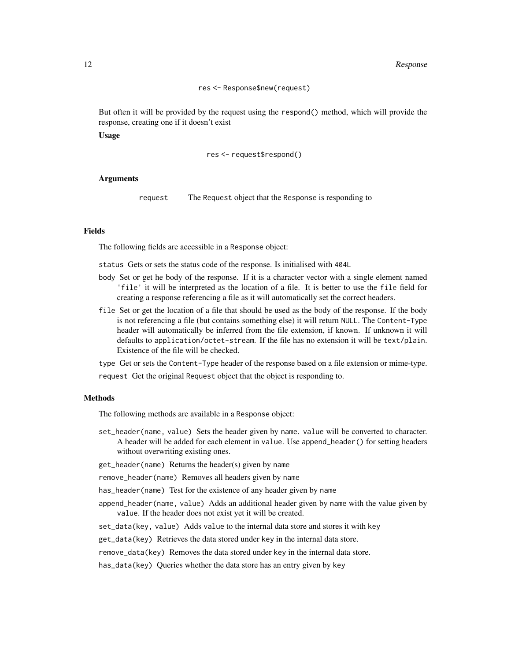#### 12 Response

#### res <- Response\$new(request)

But often it will be provided by the request using the respond() method, which will provide the response, creating one if it doesn't exist

Usage

```
res <- request$respond()
```
#### Arguments

request The Request object that the Response is responding to

#### Fields

The following fields are accessible in a Response object:

status Gets or sets the status code of the response. Is initialised with 404L

- body Set or get he body of the response. If it is a character vector with a single element named 'file' it will be interpreted as the location of a file. It is better to use the file field for creating a response referencing a file as it will automatically set the correct headers.
- file Set or get the location of a file that should be used as the body of the response. If the body is not referencing a file (but contains something else) it will return NULL. The Content-Type header will automatically be inferred from the file extension, if known. If unknown it will defaults to application/octet-stream. If the file has no extension it will be text/plain. Existence of the file will be checked.

type Get or sets the Content-Type header of the response based on a file extension or mime-type. request Get the original Request object that the object is responding to.

#### Methods

The following methods are available in a Response object:

set\_header(name, value) Sets the header given by name. value will be converted to character. A header will be added for each element in value. Use append\_header() for setting headers without overwriting existing ones.

get\_header(name) Returns the header(s) given by name

remove\_header(name) Removes all headers given by name

has\_header(name) Test for the existence of any header given by name

- append\_header(name, value) Adds an additional header given by name with the value given by value. If the header does not exist yet it will be created.
- set\_data(key, value) Adds value to the internal data store and stores it with key

get\_data(key) Retrieves the data stored under key in the internal data store.

remove\_data(key) Removes the data stored under key in the internal data store.

has\_data(key) Queries whether the data store has an entry given by key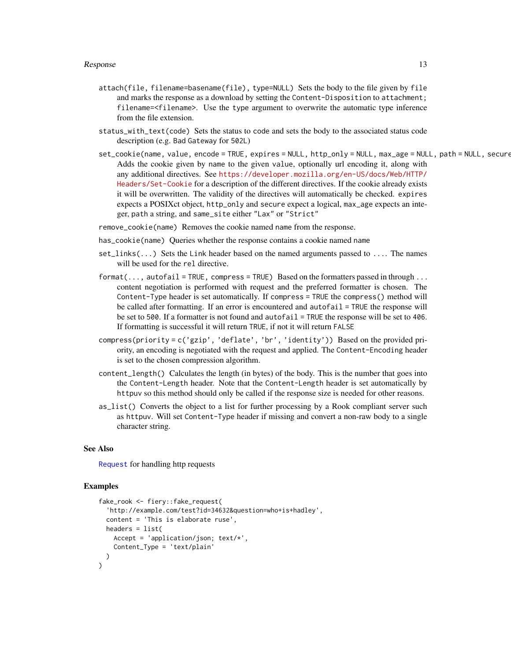- <span id="page-12-0"></span>attach(file, filename=basename(file), type=NULL) Sets the body to the file given by file and marks the response as a download by setting the Content-Disposition to attachment; filename=<filename>. Use the type argument to overwrite the automatic type inference from the file extension.
- status\_with\_text(code) Sets the status to code and sets the body to the associated status code description (e.g. Bad Gateway for 502L)
- set\_cookie(name, value, encode = TRUE, expires = NULL, http\_only = NULL, max\_age = NULL, path = NULL, secure Adds the cookie given by name to the given value, optionally url encoding it, along with any additional directives. See [https://developer.mozilla.org/en-US/docs/Web/HTTP/](https://developer.mozilla.org/en-US/docs/Web/HTTP/Headers/Set-Cookie) [Headers/Set-Cookie](https://developer.mozilla.org/en-US/docs/Web/HTTP/Headers/Set-Cookie) for a description of the different directives. If the cookie already exists it will be overwritten. The validity of the directives will automatically be checked. expires expects a POSIXct object, http\_only and secure expect a logical, max\_age expects an integer, path a string, and same\_site either "Lax" or "Strict"
- remove\_cookie(name) Removes the cookie named name from the response.
- has\_cookie(name) Queries whether the response contains a cookie named name
- set\_links(...) Sets the Link header based on the named arguments passed to .... The names will be used for the rel directive.
- $format(..., autofail = TRUE, compress = TRUE)$  Based on the formatters passed in through ... content negotiation is performed with request and the preferred formatter is chosen. The Content-Type header is set automatically. If compress = TRUE the compress() method will be called after formatting. If an error is encountered and autofail = TRUE the response will be set to 500. If a formatter is not found and autofail = TRUE the response will be set to 406. If formatting is successful it will return TRUE, if not it will return FALSE
- compress(priority = c('gzip', 'deflate', 'br', 'identity')) Based on the provided priority, an encoding is negotiated with the request and applied. The Content-Encoding header is set to the chosen compression algorithm.
- content\_length() Calculates the length (in bytes) of the body. This is the number that goes into the Content-Length header. Note that the Content-Length header is set automatically by httpuv so this method should only be called if the response size is needed for other reasons.
- as\_list() Converts the object to a list for further processing by a Rook compliant server such as httpuv. Will set Content-Type header if missing and convert a non-raw body to a single character string.

#### See Also

[Request](#page-6-1) for handling http requests

```
fake_rook <- fiery::fake_request(
  'http://example.com/test?id=34632&question=who+is+hadley',
  content = 'This is elaborate ruse',
 headers = list(Accept = 'application/json; text/*',
   Content_Type = 'text/plain'
 )
)
```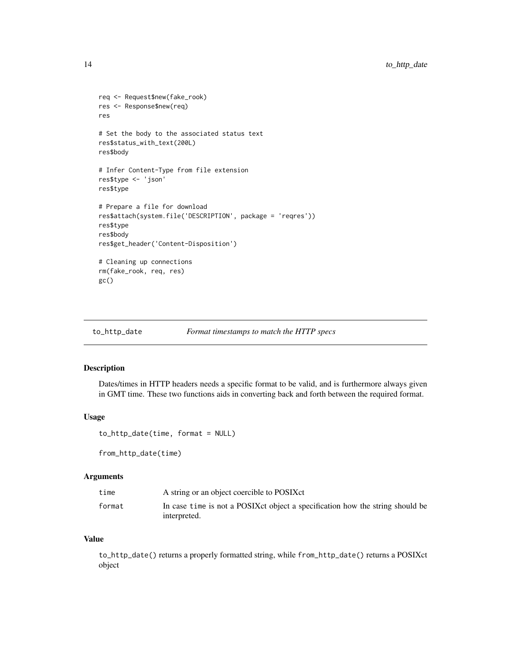```
req <- Request$new(fake_rook)
res <- Response$new(req)
res
# Set the body to the associated status text
res$status_with_text(200L)
res$body
# Infer Content-Type from file extension
res$type <- 'json'
res$type
# Prepare a file for download
res$attach(system.file('DESCRIPTION', package = 'reqres'))
res$type
res$body
res$get_header('Content-Disposition')
# Cleaning up connections
rm(fake_rook, req, res)
gc()
```
to\_http\_date *Format timestamps to match the HTTP specs*

#### Description

Dates/times in HTTP headers needs a specific format to be valid, and is furthermore always given in GMT time. These two functions aids in converting back and forth between the required format.

#### Usage

to\_http\_date(time, format = NULL)

from\_http\_date(time)

#### Arguments

| time   | A string or an object coercible to POSIXct                                     |
|--------|--------------------------------------------------------------------------------|
| format | In case time is not a POSIX ct object a specification how the string should be |
|        | interpreted.                                                                   |

#### Value

to\_http\_date() returns a properly formatted string, while from\_http\_date() returns a POSIXct object

<span id="page-13-0"></span>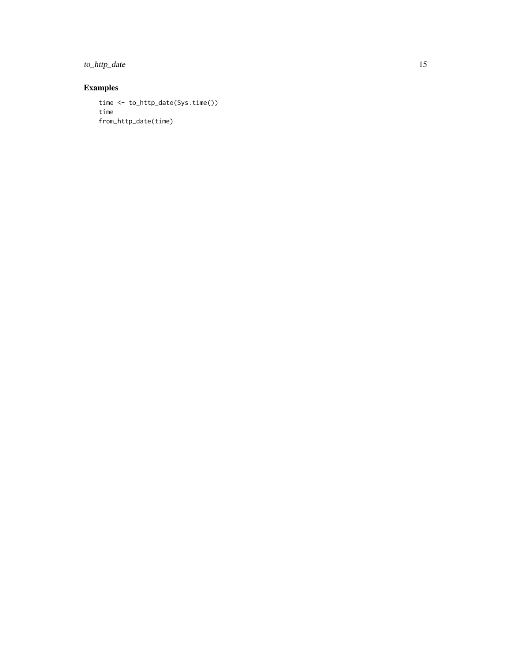to\_http\_date 15

```
time <- to_http_date(Sys.time())
time
from_http_date(time)
```